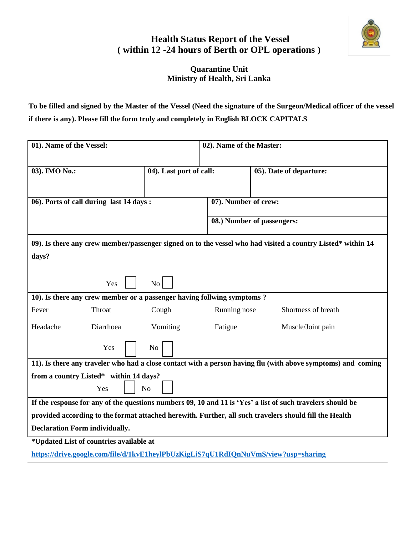

## **Health Status Report of the Vessel ( within 12 -24 hours of Berth or OPL operations )**

## **Quarantine Unit Ministry of Health, Sri Lanka**

**To be filled and signed by the Master of the Vessel (Need the signature of the Surgeon/Medical officer of the vessel if there is any). Please fill the form truly and completely in English BLOCK CAPITALS**

| 01). Name of the Vessel:                                                                                     |                         | 02). Name of the Master: |                            |  |  |  |  |  |
|--------------------------------------------------------------------------------------------------------------|-------------------------|--------------------------|----------------------------|--|--|--|--|--|
| 03). IMO No.:                                                                                                | 04). Last port of call: |                          | 05). Date of departure:    |  |  |  |  |  |
| 06). Ports of call during last 14 days:                                                                      |                         | 07). Number of crew:     |                            |  |  |  |  |  |
|                                                                                                              |                         |                          | 08.) Number of passengers: |  |  |  |  |  |
| 09). Is there any crew member/passenger signed on to the vessel who had visited a country Listed* within 14  |                         |                          |                            |  |  |  |  |  |
| days?                                                                                                        |                         |                          |                            |  |  |  |  |  |
| Yes                                                                                                          | N <sub>o</sub>          |                          |                            |  |  |  |  |  |
| 10). Is there any crew member or a passenger having follwing symptoms?                                       |                         |                          |                            |  |  |  |  |  |
| Fever<br>Throat                                                                                              | Cough                   | Running nose             | Shortness of breath        |  |  |  |  |  |
| Headache<br>Diarrhoea                                                                                        | Vomiting                | Fatigue                  | Muscle/Joint pain          |  |  |  |  |  |
| Yes                                                                                                          | N <sub>o</sub>          |                          |                            |  |  |  |  |  |
| 11). Is there any traveler who had a close contact with a person having flu (with above symptoms) and coming |                         |                          |                            |  |  |  |  |  |
| from a country Listed* within 14 days?                                                                       |                         |                          |                            |  |  |  |  |  |
| Yes                                                                                                          | N <sub>o</sub>          |                          |                            |  |  |  |  |  |
| If the response for any of the questions numbers 09, 10 and 11 is 'Yes' a list of such travelers should be   |                         |                          |                            |  |  |  |  |  |
| provided according to the format attached herewith. Further, all such travelers should fill the Health       |                         |                          |                            |  |  |  |  |  |
| <b>Declaration Form individually.</b>                                                                        |                         |                          |                            |  |  |  |  |  |
| *Updated List of countries available at                                                                      |                         |                          |                            |  |  |  |  |  |

**<https://drive.google.com/file/d/1kvE1heylPbUzKigLiS7qU1RdIQnNuVmS/view?usp=sharing>**